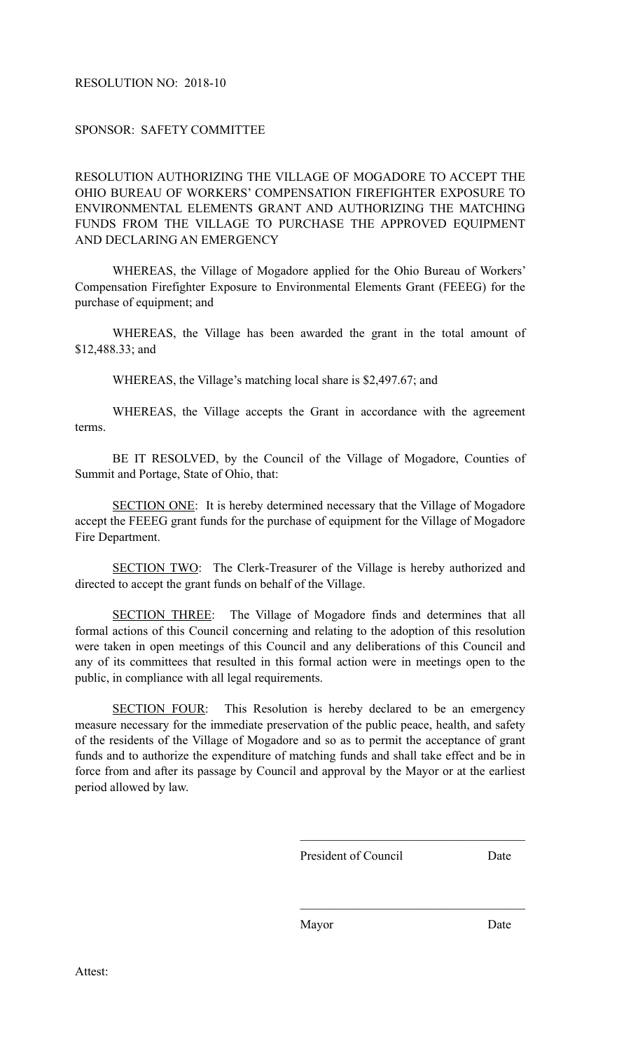## RESOLUTION NO: 2018-10

## SPONSOR: SAFETY COMMITTEE

RESOLUTION AUTHORIZING THE VILLAGE OF MOGADORE TO ACCEPT THE OHIO BUREAU OF WORKERS' COMPENSATION FIREFIGHTER EXPOSURE TO ENVIRONMENTAL ELEMENTS GRANT AND AUTHORIZING THE MATCHING FUNDS FROM THE VILLAGE TO PURCHASE THE APPROVED EQUIPMENT AND DECLARING AN EMERGENCY

 WHEREAS, the Village of Mogadore applied for the Ohio Bureau of Workers' Compensation Firefighter Exposure to Environmental Elements Grant (FEEEG) for the purchase of equipment; and

 WHEREAS, the Village has been awarded the grant in the total amount of \$12,488.33; and

WHEREAS, the Village's matching local share is \$2,497.67; and

 WHEREAS, the Village accepts the Grant in accordance with the agreement terms.

BE IT RESOLVED, by the Council of the Village of Mogadore, Counties of Summit and Portage, State of Ohio, that:

SECTION ONE: It is hereby determined necessary that the Village of Mogadore accept the FEEEG grant funds for the purchase of equipment for the Village of Mogadore Fire Department.

SECTION TWO: The Clerk-Treasurer of the Village is hereby authorized and directed to accept the grant funds on behalf of the Village.

SECTION THREE: The Village of Mogadore finds and determines that all formal actions of this Council concerning and relating to the adoption of this resolution were taken in open meetings of this Council and any deliberations of this Council and any of its committees that resulted in this formal action were in meetings open to the public, in compliance with all legal requirements.

SECTION FOUR: This Resolution is hereby declared to be an emergency measure necessary for the immediate preservation of the public peace, health, and safety of the residents of the Village of Mogadore and so as to permit the acceptance of grant funds and to authorize the expenditure of matching funds and shall take effect and be in force from and after its passage by Council and approval by the Mayor or at the earliest period allowed by law.

 $\mathcal{L}_\text{max}$  and  $\mathcal{L}_\text{max}$  and  $\mathcal{L}_\text{max}$  and  $\mathcal{L}_\text{max}$  and  $\mathcal{L}_\text{max}$ 

 $\mathcal{L}_\text{max}$  and  $\mathcal{L}_\text{max}$  and  $\mathcal{L}_\text{max}$  and  $\mathcal{L}_\text{max}$  and  $\mathcal{L}_\text{max}$ 

President of Council Date

Mayor Date